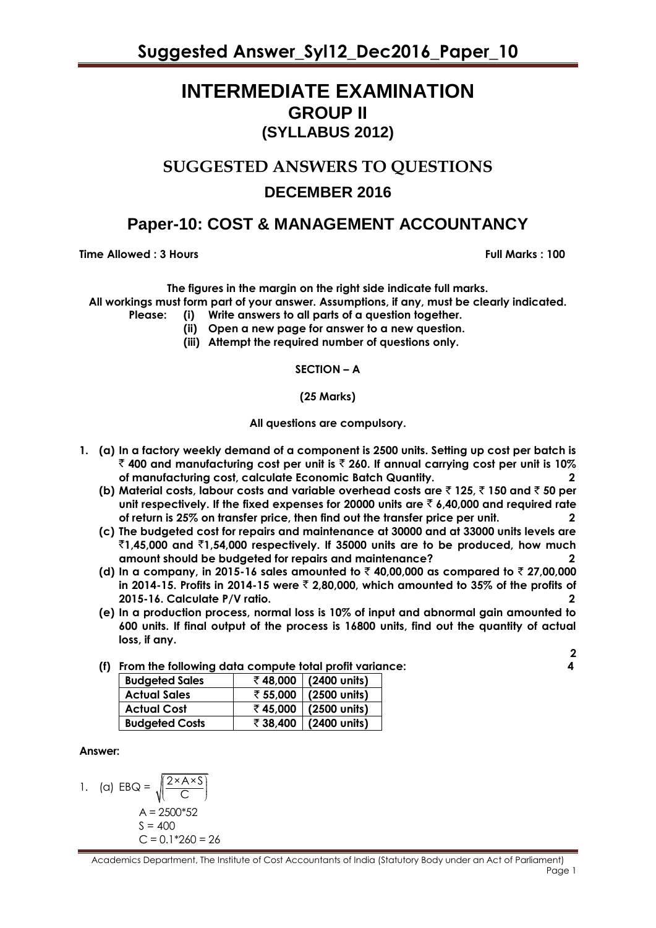**Suggested Answer\_Syl12\_Dec2016\_Paper\_10**

### **INTERMEDIATE EXAMINATION GROUP II (SYLLABUS 2012)**

# **SUGGESTED ANSWERS TO QUESTIONS DECEMBER 2016**

### **Paper-10: COST & MANAGEMENT ACCOUNTANCY**

**Time Allowed : 3 Hours Full Marks Full Marks : 100** 

**The figures in the margin on the right side indicate full marks.**

**All workings must form part of your answer. Assumptions, if any, must be clearly indicated.**

- **Please: (i) Write answers to all parts of a question together.**
	- **(ii) Open a new page for answer to a new question.**
	- **(iii) Attempt the required number of questions only.**

**SECTION – A**

**(25 Marks)**

**All questions are compulsory.**

- **1. (a) In a factory weekly demand of a component is 2500 units. Setting up cost per batch is**  ` **400 and manufacturing cost per unit is** ` **260. If annual carrying cost per unit is 10% of manufacturing cost, calculate Economic Batch Quantity. 2**
	- **(b) Material costs, labour costs and variable overhead costs are** ` **125,** ` **150 and** ` **50 per unit respectively. If the fixed expenses for 20000 units are** ` **6,40,000 and required rate of return is 25% on transfer price, then find out the transfer price per unit. 2**
	- **(c) The budgeted cost for repairs and maintenance at 30000 and at 33000 units levels are**  `**1,45,000 and** `**1,54,000 respectively. If 35000 units are to be produced, how much amount should be budgeted for repairs and maintenance? 2**
	- **(d) In a company, in 2015-16 sales amounted to** ` **40,00,000 as compared to** ` **27,00,000**  in 2014-15. Profits in 2014-15 were  $\bar{z}$  2.80,000, which amounted to 35% of the profits of **2015-16. Calculate P/V ratio. 2**
	- **(e) In a production process, normal loss is 10% of input and abnormal gain amounted to 600 units. If final output of the process is 16800 units, find out the quantity of actual loss, if any.**

| (f) From the following data compute total profit variance: |  |
|------------------------------------------------------------|--|
|------------------------------------------------------------|--|

| <b>Budgeted Sales</b> |          | ₹48,000 (2400 units)  |
|-----------------------|----------|-----------------------|
| <b>Actual Sales</b>   |          | ₹ 55,000 (2500 units) |
| <b>Actual Cost</b>    |          | ₹45,000 (2500 units)  |
| <b>Budgeted Costs</b> | ₹ 38,400 | $(2400$ units)        |
|                       |          |                       |

#### **Answer:**

1. (a) 
$$
EBQ = \sqrt{\frac{2 \times A \times S}{C}}
$$

$$
A = 2500*52
$$

$$
S = 400
$$

$$
C = 0.1*260 = 26
$$

Academics Department, The Institute of Cost Accountants of India (Statutory Body under an Act of Parliament) e de la provincia de la provincia de la provincia de la provincia de la provincia de la provincia de la provincia de la provincia de la provincia de la provincia de la provincia de la provincia de la provincia de la provin

**2**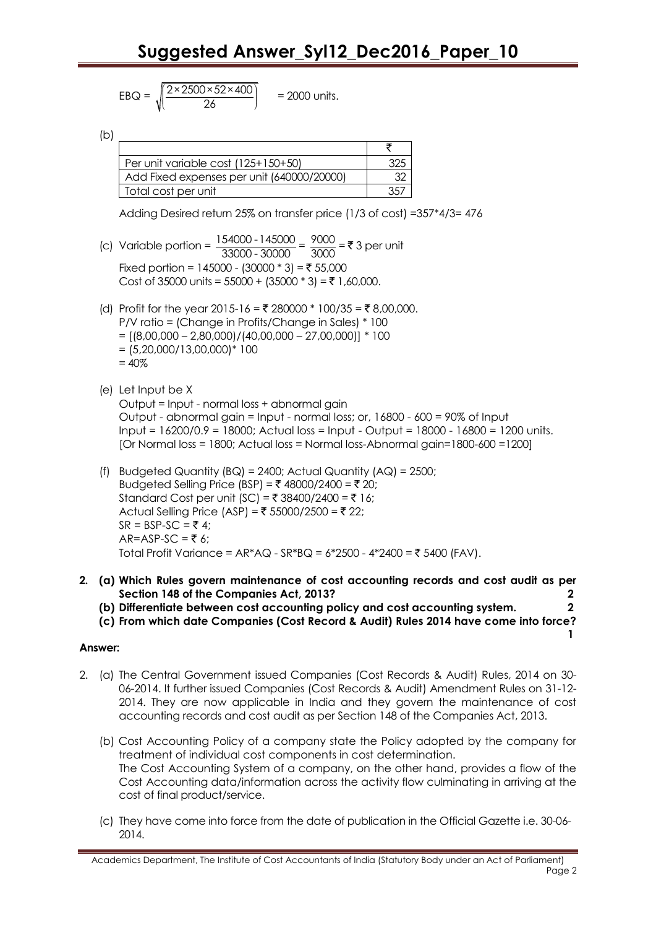$$
EBQ = \sqrt{\frac{2 \times 2500 \times 52 \times 400}{26}} = 2000
$$
 units.

 $(b)$   $\equiv$ 

| Per unit variable cost (125+150+50)        |  |
|--------------------------------------------|--|
| Add Fixed expenses per unit (640000/20000) |  |
| Total cost per unit                        |  |

Adding Desired return 25% on transfer price (1/3 of cost) =357\*4/3= 476

- (c) Variable portion =  $\frac{154000 145000}{330000}$  $\frac{54000 - 145000}{33000 - 30000} = \frac{9000}{3000}$  $\frac{7000}{3000}$  = ₹ 3 per unit Fixed portion = 145000 - (30000  $*$  3) = ₹ 55,000 Cost of 35000 units =  $55000 + (35000 * 3) = ₹ 1,60,000$ .
- (d) Profit for the year 2015-16 = ₹ 280000 \* 100/35 = ₹ 8,00,000. P/V ratio = (Change in Profits/Change in Sales) \* 100  $=$  [(8,00,000 – 2,80,000)/(40,00,000 – 27,00,000)] \* 100  $= (5,20,000/13,00,000)^*100$  $= 40\%$
- (e) Let Input be X Output = Input - normal loss + abnormal gain Output - abnormal gain = Input - normal loss; or, 16800 - 600 = 90% of Input Input = 16200/0.9 = 18000; Actual loss = Input - Output = 18000 - 16800 = 1200 units. [Or Normal loss = 1800; Actual loss = Normal loss-Abnormal gain=1800-600 =1200]
	- (f) Budgeted Quantity  $(BQ) = 2400$ ; Actual Quantity  $(AQ) = 2500$ ; Budgeted Selling Price (BSP) = ₹ 48000/2400 = ₹ 20; Standard Cost per unit (SC) = ₹ 38400/2400 = ₹ 16; Actual Selling Price (ASP) =  $\bar{z}$  55000/2500 =  $\bar{z}$  22;  $SR = BSP-SC = \overline{5}4$ ;  $AR = ASP-SC = \overline{z} 6$ ; Total Profit Variance = AR\*AQ - SR\*BQ = 6\*2500 - 4\*2400 = ₹ 5400 (FAV).
- **2. (a) Which Rules govern maintenance of cost accounting records and cost audit as per Section 148 of the Companies Act, 2013? 2**
	- **(b) Differentiate between cost accounting policy and cost accounting system. 2**
	- **(c) From which date Companies (Cost Record & Audit) Rules 2014 have come into force?**

 **1**

#### **Answer:**

- 2. (a) The Central Government issued Companies (Cost Records & Audit) Rules, 2014 on 30- 06-2014. It further issued Companies (Cost Records & Audit) Amendment Rules on 31-12- 2014. They are now applicable in India and they govern the maintenance of cost accounting records and cost audit as per Section 148 of the Companies Act, 2013.
	- (b) Cost Accounting Policy of a company state the Policy adopted by the company for treatment of individual cost components in cost determination. The Cost Accounting System of a company, on the other hand, provides a flow of the Cost Accounting data/information across the activity flow culminating in arriving at the cost of final product/service.
	- (c) They have come into force from the date of publication in the Official Gazette i.e. 30-06- 2014.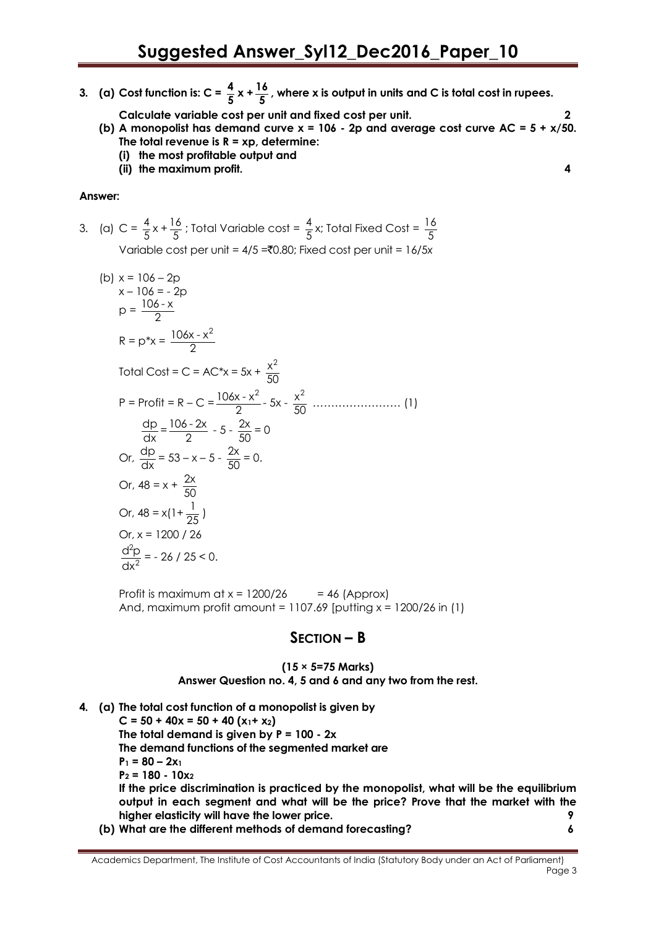- **3.** (a) Cost function is:  $C = \frac{4}{5}$  $\frac{4}{5}x + \frac{16}{5}$ **5 , where x is output in units and C is total cost in rupees.**
	- **Calculate variable cost per unit and fixed cost per unit. 2 (b) A monopolist has demand curve x = 106 - 2p and average cost curve AC = 5 + x/50. The total revenue is R = xp, determine:**
		- **(i) the most profitable output and**
		- **(ii) the maximum profit. 4**

3. (a) 
$$
C = \frac{4}{5}x + \frac{16}{5}
$$
; Total Variable cost =  $\frac{4}{5}x$ ; Total Fixed Cost =  $\frac{16}{5}$   
Variable cost per unit = 4/5 = 0.80; Fixed cost per unit = 16/5x

(b) 
$$
x = 106 - 2p
$$
  
\n $x - 106 = -2p$   
\n $p = \frac{106 - x}{2}$   
\n $R = p*x = \frac{106x - x^2}{2}$   
\nTotal Cost = C = AC\*x = 5x +  $\frac{x^2}{50}$   
\nP = Profit = R - C =  $\frac{106x - x^2}{2} - 5x - \frac{x^2}{50}$  ................. (1)  
\n $\frac{dp}{dx} = \frac{106 - 2x}{2} - 5 - \frac{2x}{50} = 0$   
\nOr,  $\frac{dp}{dx} = 53 - x - 5 - \frac{2x}{50} = 0$ .  
\nOr,  $48 = x + \frac{2x}{50}$   
\nOr,  $48 = x(1 + \frac{1}{25})$   
\nOr,  $x = 1200 / 26$   
\n $\frac{d^2p}{dx^2} = -26 / 25 < 0$ .

Profit is maximum at  $x = 1200/26$  = 46 (Approx) And, maximum profit amount =  $1107.69$  [putting  $x = 1200/26$  in (1)

### **SECTION – B**

#### **(15 × 5=75 Marks) Answer Question no. 4, 5 and 6 and any two from the rest.**

**4. (a) The total cost function of a monopolist is given by**  $C = 50 + 40x = 50 + 40(x_1 + x_2)$ **The total demand is given by P = 100 - 2x The demand functions of the segmented market are**  $P_1 = 80 - 2x_1$ **P<sup>2</sup> = 180 - 10x<sup>2</sup> If the price discrimination is practiced by the monopolist, what will be the equilibrium output in each segment and what will be the price? Prove that the market with the higher elasticity will have the lower price. 9 (b) What are the different methods of demand forecasting? 6**

Academics Department, The Institute of Cost Accountants of India (Statutory Body under an Act of Parliament) en de la provincia de la provincia de la provincia de la provincia de la provincia de la provincia de la provi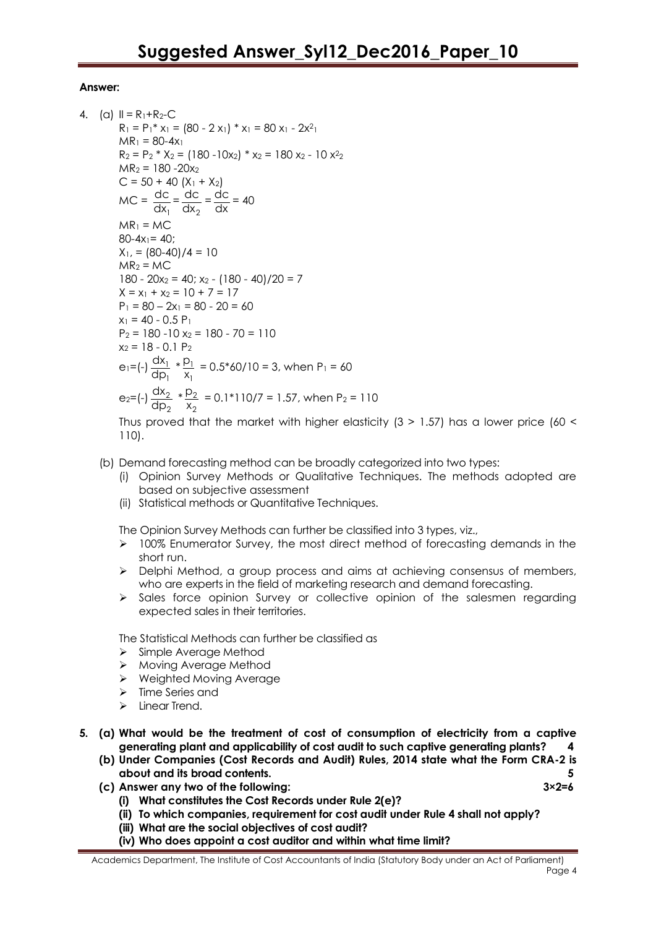```
4. (a) II = R_1 + R_2 - CR_1 = P_1^* x_1 = (80 - 2 x_1)^* x_1 = 80 x_1 - 2x_1^2MR_1 = 80-4x_1R_2 = P_2 * X_2 = (180 - 10x_2) * x_2 = 180 x_2 - 10 x_2^2MR_2 = 180 - 20x_2C = 50 + 40 (X_1 + X_2)MC =1
                      dc
                      \frac{dC}{dx_1} =2
                               dc
                              \frac{dc}{dx_2} = \frac{dc}{dx}\frac{dC}{dx} = 40MR_1 = MC80-4x_1= 40:
           X_1, = (80-40)/4 = 10
           MR<sub>2</sub> = MC180 - 20x_2 = 40; x_2 - (180 - 40)/20 = 7X = x_1 + x_2 = 10 + 7 = 17P_1 = 80 - 2x_1 = 80 - 20 = 60x_1 = 40 - 0.5 P_1P_2 = 180 - 10 x_2 = 180 - 70 = 110x_2 = 18 - 0.1 P_2e_1 = (-) \frac{u_1}{u_1}1
                     dx
                     \frac{ax_1}{dp_1} * \frac{p_1}{x_1}1
                              p
                               \frac{M_1}{X_1} = 0.5*60/10 = 3, when P<sub>1</sub> = 60
            e_2=(-) \frac{u_{2}}{u_{1}}2
                     dx
                     \frac{dx_2}{dp_2} * \frac{p_2}{x_2}2
                               p
                               \frac{182}{18} = 0.1*110/7 = 1.57, when P<sub>2</sub> = 110
```
Thus proved that the market with higher elasticity  $(3 > 1.57)$  has a lower price  $(60 <$ 110).

- (b) Demand forecasting method can be broadly categorized into two types:
	- (i) Opinion Survey Methods or Qualitative Techniques. The methods adopted are based on subjective assessment
	- (ii) Statistical methods or Quantitative Techniques.

The Opinion Survey Methods can further be classified into 3 types, viz.,

- $\geq$  100% Enumerator Survey, the most direct method of forecasting demands in the short run.
- $\triangleright$  Delphi Method, a group process and aims at achieving consensus of members, who are experts in the field of marketing research and demand forecasting.
- $\triangleright$  Sales force opinion Survey or collective opinion of the salesmen regarding expected sales in their territories.

The Statistical Methods can further be classified as

- $\triangleright$  Simple Average Method
- ▶ Moving Average Method
- Weighted Moving Average
- > Time Series and
- $\triangleright$  Linear Trend.
- **5. (a) What would be the treatment of cost of consumption of electricity from a captive generating plant and applicability of cost audit to such captive generating plants? 4**
	- **(b) Under Companies (Cost Records and Audit) Rules, 2014 state what the Form CRA-2 is about and its broad contents. 5**
	- **(c) Answer any two of the following: 3×2=6**
		- **(i) What constitutes the Cost Records under Rule 2(e)?**
		- **(ii) To which companies, requirement for cost audit under Rule 4 shall not apply?**
		- **(iii) What are the social objectives of cost audit?**
		- **(iv) Who does appoint a cost auditor and within what time limit?**

Academics Department, The Institute of Cost Accountants of India (Statutory Body under an Act of Parliament) e de la provincia de la provincia de la provincia de la provincia de la provincia de la provincia de la provincia de la provincia de la provincia de la provincia de la provincia de la provincia de la provincia de la provin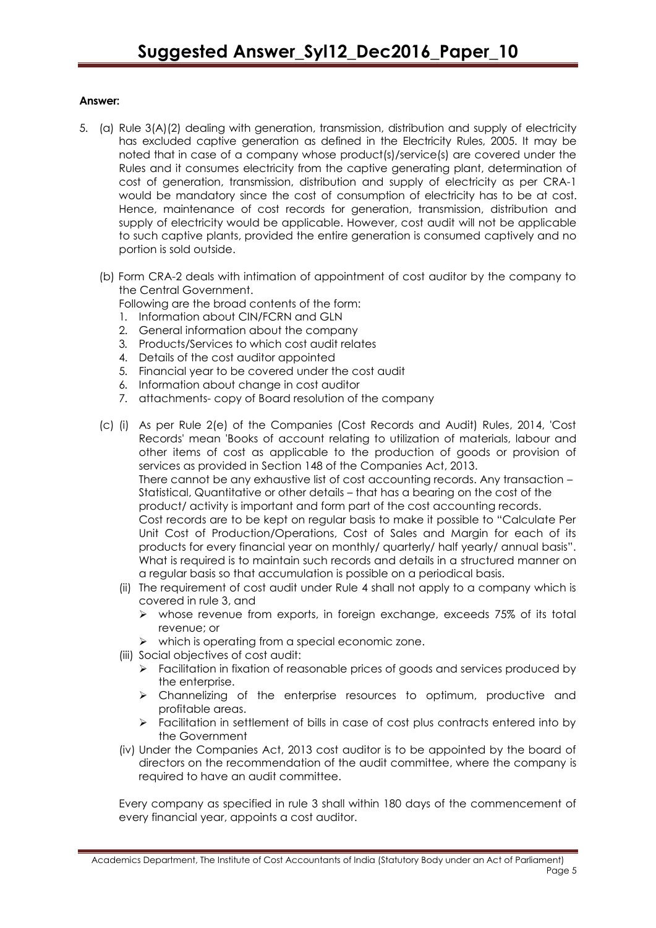- 5. (a) Rule 3(A)(2) dealing with generation, transmission, distribution and supply of electricity has excluded captive generation as defined in the Electricity Rules, 2005. It may be noted that in case of a company whose product(s)/service(s) are covered under the Rules and it consumes electricity from the captive generating plant, determination of cost of generation, transmission, distribution and supply of electricity as per CRA-1 would be mandatory since the cost of consumption of electricity has to be at cost. Hence, maintenance of cost records for generation, transmission, distribution and supply of electricity would be applicable. However, cost audit will not be applicable to such captive plants, provided the entire generation is consumed captively and no portion is sold outside.
	- (b) Form CRA-2 deals with intimation of appointment of cost auditor by the company to the Central Government.

Following are the broad contents of the form:

- 1. Information about CIN/FCRN and GLN
- 2. General information about the company
- 3. Products/Services to which cost audit relates
- 4. Details of the cost auditor appointed
- 5. Financial year to be covered under the cost audit
- 6. Information about change in cost auditor
- 7. attachments- copy of Board resolution of the company
- (c) (i) As per Rule 2(e) of the Companies (Cost Records and Audit) Rules, 2014, 'Cost Records' mean 'Books of account relating to utilization of materials, labour and other items of cost as applicable to the production of goods or provision of services as provided in Section 148 of the Companies Act, 2013. There cannot be any exhaustive list of cost accounting records. Any transaction – Statistical, Quantitative or other details – that has a bearing on the cost of the product/ activity is important and form part of the cost accounting records. Cost records are to be kept on regular basis to make it possible to "Calculate Per Unit Cost of Production/Operations, Cost of Sales and Margin for each of its products for every financial year on monthly/ quarterly/ half yearly/ annual basis". What is required is to maintain such records and details in a structured manner on a regular basis so that accumulation is possible on a periodical basis.
	- (ii) The requirement of cost audit under Rule 4 shall not apply to a company which is covered in rule 3, and
		- whose revenue from exports, in foreign exchange, exceeds 75% of its total revenue; or
		- $\triangleright$  which is operating from a special economic zone.
	- (iii) Social objectives of cost audit:
		- $\triangleright$  Facilitation in fixation of reasonable prices of goods and services produced by the enterprise.
		- $\triangleright$  Channelizing of the enterprise resources to optimum, productive and profitable areas.
		- > Facilitation in settlement of bills in case of cost plus contracts entered into by the Government
	- (iv) Under the Companies Act, 2013 cost auditor is to be appointed by the board of directors on the recommendation of the audit committee, where the company is required to have an audit committee.

Every company as specified in rule 3 shall within 180 days of the commencement of every financial year, appoints a cost auditor.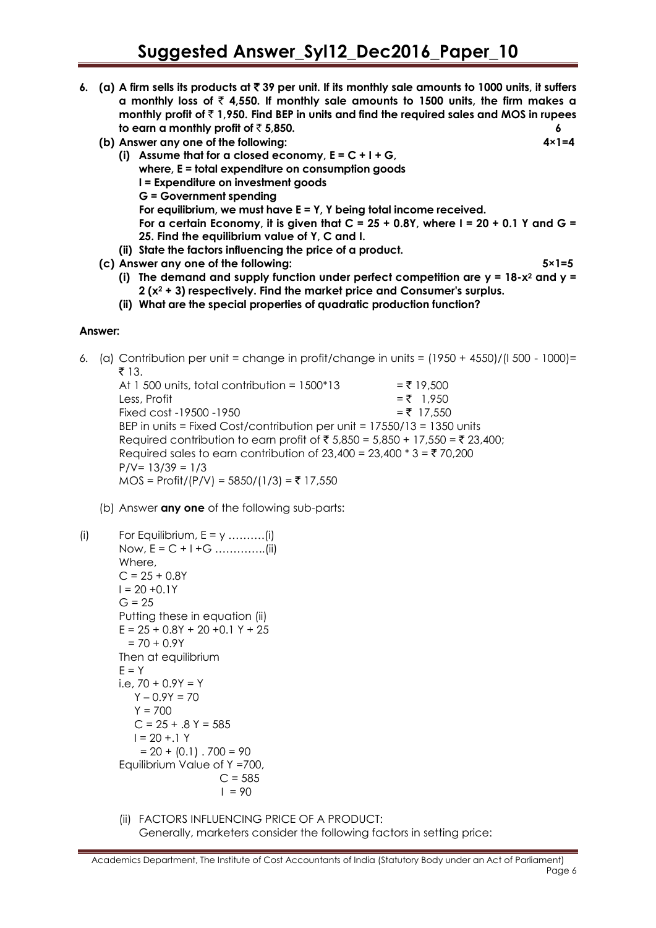- **6. (a) A firm sells its products at** ` **39 per unit. If its monthly sale amounts to 1000 units, it suffers a monthly loss of**  $\bar{\tau}$  **4,550. If monthly sale amounts to 1500 units, the firm makes a monthly profit of** ` **1,950. Find BEP in units and find the required sales and MOS in rupees to earn a monthly profit of**  $\bar{z}$  **5,850.** 6
	- **(b) Answer any one of the following: 4×1=4**
		- **(i) Assume that for a closed economy, E = C + I + G, where, E = total expenditure on consumption goods I = Expenditure on investment goods G = Government spending For equilibrium, we must have E = Y, Y being total income received. For a certain Economy, it is given that C = 25 + 0.8Y, where I = 20 + 0.1 Y and G = 25. Find the equilibrium value of Y, C and I.**
	- **(ii) State the factors influencing the price of a product. (c) Answer any one of the following: 5×1=5**
		-
		- **(i) The demand and supply function under perfect competition are y = 18-x<sup>2</sup> and y = 2 (x<sup>2</sup> + 3) respectively. Find the market price and Consumer's surplus.**
		- **(ii) What are the special properties of quadratic production function?**

6. (a) Contribution per unit = change in profit/change in units =  $(1950 + 4550)/\sqrt{1500 - 1000}$ =  $\bar{z}$  13.

At 1 500 units, total contribution =  $1500*13$  = ₹ 19,500 Less, Profit  $=$   $\overline{z}$  1,950 Fixed cost -19500 -1950  $=$   $\overline{z}$  17,550 BEP in units = Fixed Cost/contribution per unit = 17550/13 = 1350 units Required contribution to earn profit of ₹ 5,850 = 5,850 + 17,550 = ₹ 23,400; Required sales to earn contribution of  $23,400 = 23,400 * 3 = ₹70,200$  $P/V = 13/39 = 1/3$  $MOS = Profit/(P/V) = 5850/(1/3) = ₹ 17,550$ 

(b) Answer **any one** of the following sub-parts:

```
(i) For Equilibrium, E = y ...........(i)
       Now, E = C + I +G …………..(ii)
       Where, 
       C = 25 + 0.8YI = 20 + 0.1YG = 25Putting these in equation (ii)
       E = 25 + 0.8Y + 20 + 0.1Y + 25= 70 + 0.9YThen at equilibrium
       E = Yi.e, 70 + 0.9Y = Y
          Y - 0.9Y = 70Y = 700C = 25 + .8 Y = 585
          I = 20 + .1 Y= 20 + (0.1). 700 = 90
       Equilibrium Value of Y =700,
                           C = 5851 = 90
```
(ii) FACTORS INFLUENCING PRICE OF A PRODUCT: Generally, marketers consider the following factors in setting price:

Academics Department, The Institute of Cost Accountants of India (Statutory Body under an Act of Parliament) e de la provincia de la provincia de la provincia de la provincia de la provincia de la provincia de la provincia de la provincia de la provincia de la provincia de la provincia de la provincia de la provincia de la provin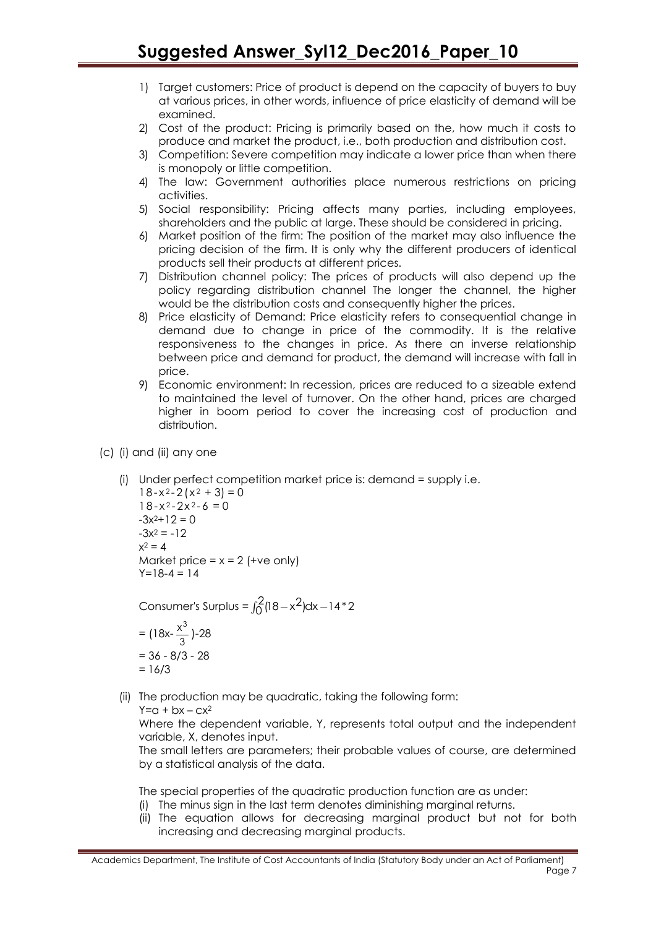- 1) Target customers: Price of product is depend on the capacity of buyers to buy at various prices, in other words, influence of price elasticity of demand will be examined.
- 2) Cost of the product: Pricing is primarily based on the, how much it costs to produce and market the product, i.e., both production and distribution cost.
- 3) Competition: Severe competition may indicate a lower price than when there is monopoly or little competition.
- 4) The law: Government authorities place numerous restrictions on pricing activities.
- 5) Social responsibility: Pricing affects many parties, including employees, shareholders and the public at large. These should be considered in pricing.
- 6) Market position of the firm: The position of the market may also influence the pricing decision of the firm. It is only why the different producers of identical products sell their products at different prices.
- 7) Distribution channel policy: The prices of products will also depend up the policy regarding distribution channel The longer the channel, the higher would be the distribution costs and consequently higher the prices.
- 8) Price elasticity of Demand: Price elasticity refers to consequential change in demand due to change in price of the commodity. It is the relative responsiveness to the changes in price. As there an inverse relationship between price and demand for product, the demand will increase with fall in price.
- 9) Economic environment: In recession, prices are reduced to a sizeable extend to maintained the level of turnover. On the other hand, prices are charged higher in boom period to cover the increasing cost of production and distribution.
- (c) (i) and (ii) any one
	- (i) Under perfect competition market price is: demand = supply i.e.

```
18 - x^2 - 2(x^2 + 3) = 018 - x^2 - 2x^2 - 6 = 0-3x^2+12=0-3x^2 = -12x^2 = 4Market price = x = 2 (+ve only)
Y=18-4 = 14
```
Consumer's Surplus =  $\int_0^2 (18 - x^2) dx - 14 \cdot 2$ 

$$
= (18x - \frac{x^3}{3}) - 28
$$
  
= 36 - 8/3 - 28  
= 16/3

(ii) The production may be quadratic, taking the following form:

 $Y=a + bx - cx^2$ 

Where the dependent variable, Y, represents total output and the independent variable, X, denotes input.

The small letters are parameters; their probable values of course, are determined by a statistical analysis of the data.

The special properties of the quadratic production function are as under:

(i) The minus sign in the last term denotes diminishing marginal returns.

(ii) The equation allows for decreasing marginal product but not for both increasing and decreasing marginal products.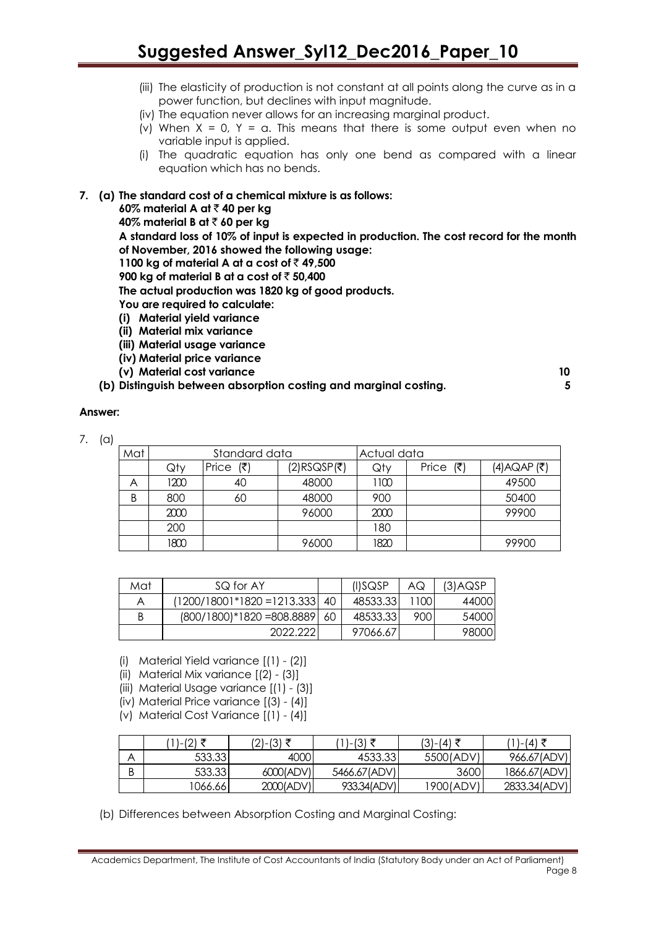## **Suggested Answer\_Syl12\_Dec2016\_Paper\_10**

- (iii) The elasticity of production is not constant at all points along the curve as in a power function, but declines with input magnitude.
- (iv) The equation never allows for an increasing marginal product.
- (v) When  $X = 0$ ,  $Y = a$ . This means that there is some output even when no variable input is applied.
- (i) The quadratic equation has only one bend as compared with a linear equation which has no bends.

#### **7. (a) The standard cost of a chemical mixture is as follows:**

**60% material A at ₹40 per kg** 

**40% material B at ₹ 60 per kg** 

**A standard loss of 10% of input is expected in production. The cost record for the month of November, 2016 showed the following usage:**

**1100 kg of material A at a cost of** ` **49,500**

**900 kg of material B at a cost of ₹ 50,400** 

**The actual production was 1820 kg of good products.**

- **You are required to calculate:**
- **(i) Material yield variance**
- **(ii) Material mix variance**
- **(iii) Material usage variance**
- **(iv) Material price variance**
- **(v) Material cost variance 10**
- **(b) Distinguish between absorption costing and marginal costing. 5**

#### **Answer:**

7. (a)

| Mat | Standard data |                             | Actual data |      |                             |              |
|-----|---------------|-----------------------------|-------------|------|-----------------------------|--------------|
|     | Qty           | Price $(\bar{\bar{\zeta}})$ | (2)RSQSP(₹) | Qty  | Price $(\bar{\bar{\zeta}})$ | (4) AQAP (₹) |
| Α   | 1200          | 40                          | 48000       | 1100 |                             | 49500        |
| B   | 800           | 60                          | 48000       | 900  |                             | 50400        |
|     | 2000          |                             | 96000       | 2000 |                             | 99900        |
|     | 200           |                             |             | 180  |                             |              |
|     | 1800          |                             | 96000       | 1820 |                             | 99900        |

| Mat | SQ for AY                    |     | (I)SQSP   | AG    | $(3)$ AQSP |
|-----|------------------------------|-----|-----------|-------|------------|
| A   | $(1200/18001*1820=1213.333)$ | 40  | 48533.331 | 11001 | 44000      |
| В   | $(800/1800)*1820 = 808.8889$ | -60 | 48533.33  | 900   | 54000      |
|     | 2022.221                     |     | 97066.67  |       | 98000      |

- (i) Material Yield variance [(1) (2)]
- (ii) Material Mix variance [(2) (3)]
- (iii) Material Usage variance [(1) (3)]
- (iv) Material Price variance [(3) (4)]
- (v) Material Cost Variance [(1) (4)]

|        | )-(2) ₹  | (2)-(3) ₹ | '1)-(3) ₹    | $(3)-(4)$ ₹ | ′1)-(4) ₹    |
|--------|----------|-----------|--------------|-------------|--------------|
|        | 533.33   | 4000      | 4533.33      | 5500(ADV)   | 966.67(ADV)  |
| D<br>D | 533.33   | 6000(ADV) | 5466.67(ADV) | 3600        | 1866.67(ADV) |
|        | 1066.661 | 2000(ADV) | 933.34(ADV)  | 1900(ADV)   | 2833.34(ADV) |

(b) Differences between Absorption Costing and Marginal Costing: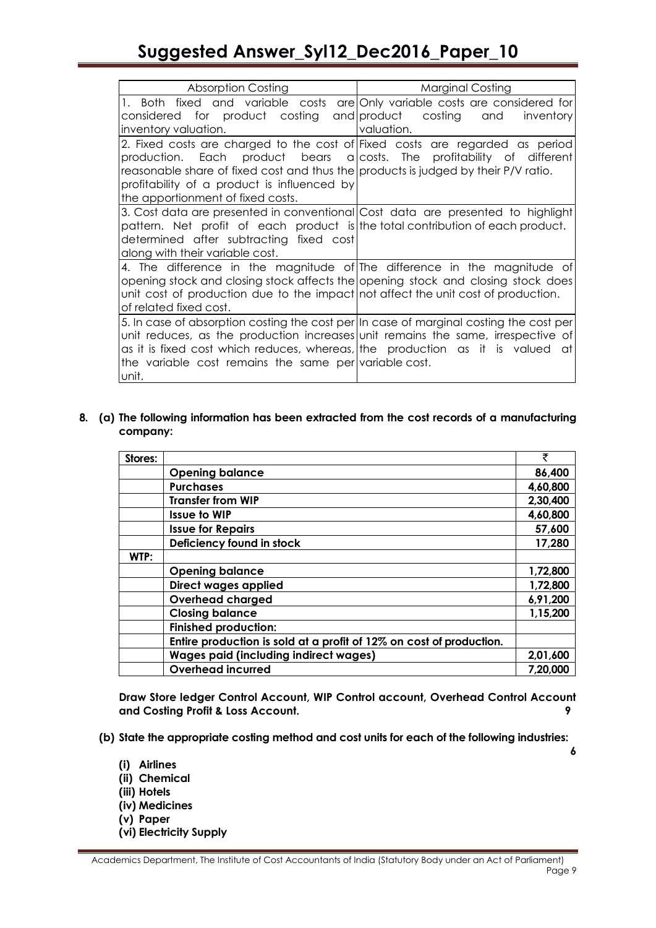# **Suggested Answer\_Syl12\_Dec2016\_Paper\_10**

| <b>Absorption Costing</b>                                                                                                                                                                                                                                                                                                        | <b>Marginal Costing</b> |
|----------------------------------------------------------------------------------------------------------------------------------------------------------------------------------------------------------------------------------------------------------------------------------------------------------------------------------|-------------------------|
| 1. Both fixed and variable costs are Only variable costs are considered for<br>considered for product costing and product costing and<br>inventory valuation.                                                                                                                                                                    | inventory<br>valuation. |
| 2. Fixed costs are charged to the cost of Fixed costs are regarded as period<br>production. Each product bears a costs. The profitability of different<br>reasonable share of fixed cost and thus the products is judged by their P/V ratio.<br>profitability of a product is influenced by<br>the apportionment of fixed costs. |                         |
| 3. Cost data are presented in conventional Cost data are presented to highlight<br>pattern. Net profit of each product is the total contribution of each product.<br>determined after subtracting fixed cost<br>along with their variable cost.                                                                                  |                         |
| 4. The difference in the magnitude of The difference in the magnitude of<br>opening stock and closing stock affects the opening stock and closing stock does<br>unit cost of production due to the impact not affect the unit cost of production.<br>of related fixed cost.                                                      |                         |
| 5. In case of absorption costing the cost per In case of marginal costing the cost per<br>unit reduces, as the production increases unit remains the same, irrespective of<br>as it is fixed cost which reduces, whereas, the production as it is valued at<br>the variable cost remains the same per variable cost.<br>unit.    |                         |

#### **8. (a) The following information has been extracted from the cost records of a manufacturing company:**

| Stores: |                                                                     | ₹        |
|---------|---------------------------------------------------------------------|----------|
|         | <b>Opening balance</b>                                              | 86,400   |
|         | <b>Purchases</b>                                                    | 4,60,800 |
|         | <b>Transfer from WIP</b>                                            | 2,30,400 |
|         | <b>Issue to WIP</b>                                                 | 4,60,800 |
|         | <b>Issue for Repairs</b>                                            | 57,600   |
|         | Deficiency found in stock                                           | 17,280   |
| WTP:    |                                                                     |          |
|         | <b>Opening balance</b>                                              | 1,72,800 |
|         | Direct wages applied                                                | 1,72,800 |
|         | <b>Overhead charged</b>                                             | 6,91,200 |
|         | <b>Closing balance</b>                                              | 1,15,200 |
|         | <b>Finished production:</b>                                         |          |
|         | Entire production is sold at a profit of 12% on cost of production. |          |
|         | <b>Wages paid (including indirect wages)</b>                        | 2,01,600 |
|         | <b>Overhead incurred</b>                                            | 7,20,000 |

**Draw Store ledger Control Account, WIP Control account, Overhead Control Account and Costing Profit & Loss Account. 9**

**6**

- **(b) State the appropriate costing method and cost units for each of the following industries:**
	- **(i) Airlines**
	- **(ii) Chemical**
	- **(iii) Hotels**
	- **(iv) Medicines**
	- **(v) Paper**
	- **(vi) Electricity Supply**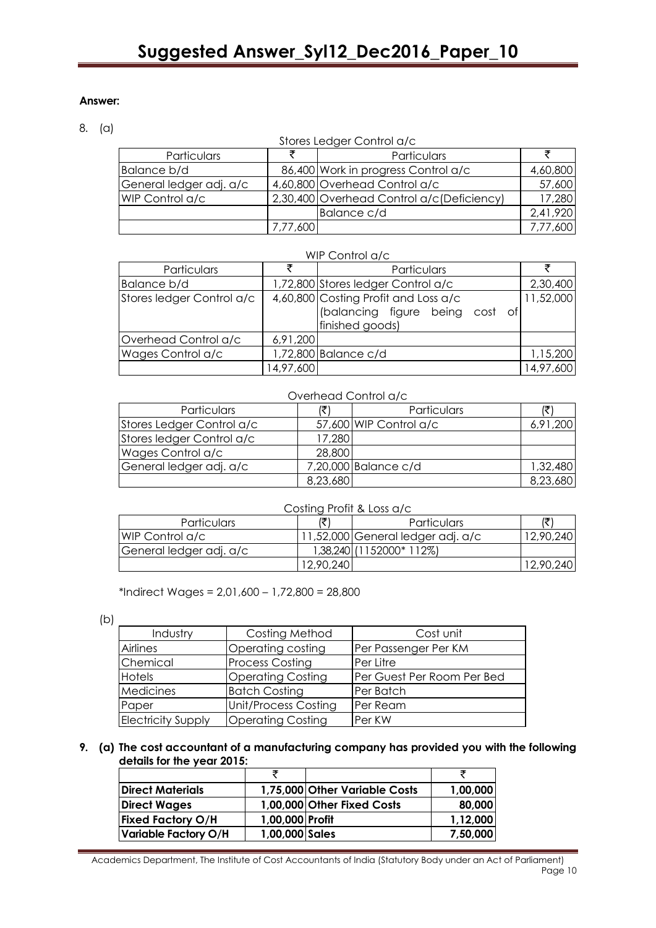#### 8. (a)

| Stores Ledger Control a/c |          |                                            |          |  |  |
|---------------------------|----------|--------------------------------------------|----------|--|--|
| Particulars               |          | Particulars                                |          |  |  |
| Balance b/d               |          | 86,400 Work in progress Control a/c        | 4,60,800 |  |  |
| General ledger adj. a/c   |          | 4,60,800 Overhead Control a/c              | 57,600   |  |  |
| WIP Control a/c           |          | 2,30,400 Overhead Control a/c (Deficiency) | 17,280   |  |  |
|                           |          | Balance c/d                                | 2,41,920 |  |  |
|                           | 7,77,600 |                                            | 7,77,600 |  |  |

| Particulars               |           | Particulars                                                                                   |           |  |
|---------------------------|-----------|-----------------------------------------------------------------------------------------------|-----------|--|
| Balance b/d               |           | 1,72,800 Stores ledger Control a/c                                                            | 2,30,400  |  |
| Stores ledger Control a/c |           | 4,60,800 Costing Profit and Loss a/c<br>(balancing figure being cost<br>of<br>finished goods) | 11,52,000 |  |
| Overhead Control a/c      | 6,91,200  |                                                                                               |           |  |
| Wages Control a/c         |           | 1,72,800 Balance c/d                                                                          | 1,15,200  |  |
|                           | 14,97,600 |                                                                                               | 14,97,600 |  |

#### Overhead Control a/c

| Particulars               |          | Particulars            |          |
|---------------------------|----------|------------------------|----------|
| Stores Ledger Control a/c |          | 57,600 WIP Control a/c | 6,91,200 |
| Stores ledger Control a/c | 17,280   |                        |          |
| Wages Control a/c         | 28,800   |                        |          |
| General ledger adj. a/c   |          | 7,20,000 Balance c/d   | 1,32,480 |
|                           | 8,23,680 |                        | 8,23,680 |

#### Costing Profit & Loss a/c

| <b>Particulars</b>      |           | <b>Particulars</b>                | ا پ       |
|-------------------------|-----------|-----------------------------------|-----------|
| <b>IWIP Control a/c</b> |           | 11,52,000 General ledger adj. a/c | 12,90,240 |
| General ledger adj. a/c |           | 1,38,240 (1152000* 112%)          |           |
|                         | 12,90,240 |                                   | 12,90,240 |

\*Indirect Wages = 2,01,600 – 1,72,800 = 28,800

(b)

| Industry                  | Costing Method              | Cost unit                  |  |  |
|---------------------------|-----------------------------|----------------------------|--|--|
| Airlines                  | Operating costing           | Per Passenger Per KM       |  |  |
| Chemical                  | <b>Process Costing</b>      | Per Litre                  |  |  |
| Hotels                    | <b>Operating Costing</b>    | Per Guest Per Room Per Bed |  |  |
| Medicines                 | <b>Batch Costing</b>        | Per Batch                  |  |  |
| Paper                     | <b>Unit/Process Costing</b> | Per Ream                   |  |  |
| <b>Electricity Supply</b> | <b>Operating Costing</b>    | Per KW                     |  |  |

#### **9. (a) The cost accountant of a manufacturing company has provided you with the following details for the year 2015:**

| Direct Materials         |                 | 1,75,000 Other Variable Costs | 1,00,000 |
|--------------------------|-----------------|-------------------------------|----------|
| <b>Direct Wages</b>      |                 | 1,00,000 Other Fixed Costs    | 80,000   |
| <b>Fixed Factory O/H</b> | 1,00,000 Profit |                               | 1,12,000 |
| Variable Factory O/H     | 1,00,000 Sales  |                               | 7,50,000 |

Academics Department, The Institute of Cost Accountants of India (Statutory Body under an Act of Parliament) Page 10 in the state of the state of the state of the state of the state of the state of the state of the state of the state of the state of the state of the state of the state of the state of the state of the state of the

### WIP Control a/c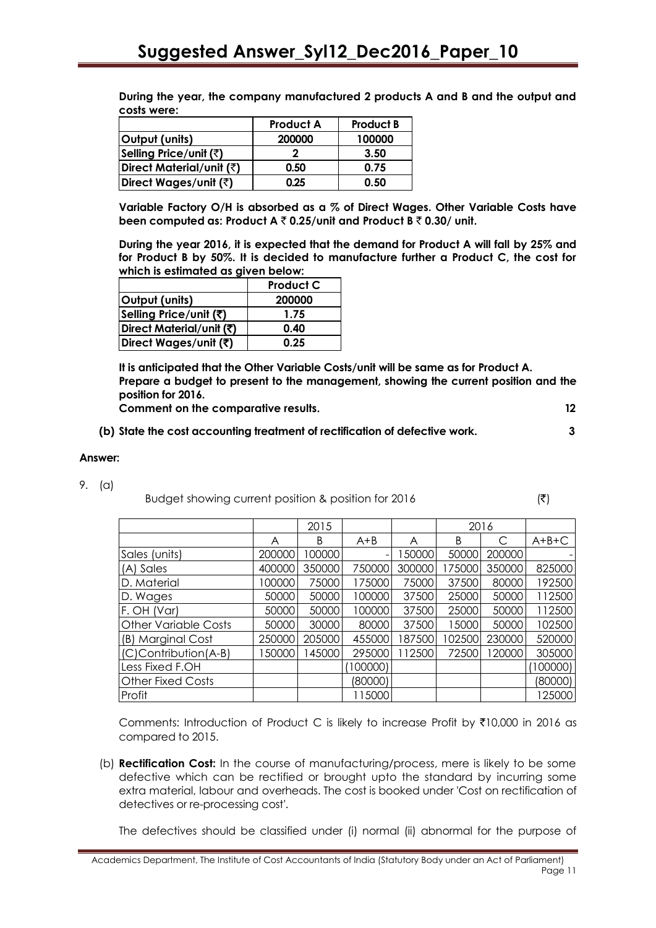| costs were:              |                  |                  |
|--------------------------|------------------|------------------|
|                          | <b>Product A</b> | <b>Product B</b> |
| Output (units)           | 200000           | 100000           |
| Selling Price/unit (₹)   |                  | 3.50             |
| Direct Material/unit (₹) | 0.50             | 0.75             |
| Direct Wages/unit (₹)    | 0.25             | 0.50             |

**During the year, the company manufactured 2 products A and B and the output and costs were:**

**Variable Factory O/H is absorbed as a % of Direct Wages. Other Variable Costs have been computed as: Product A** ` **0.25/unit and Product B** ` **0.30/ unit.**

**During the year 2016, it is expected that the demand for Product A will fall by 25% and for Product B by 50%. It is decided to manufacture further a Product C, the cost for which is estimated as given below:**

|                          | <b>Product C</b> |
|--------------------------|------------------|
| Output (units)           | 200000           |
| Selling Price/unit (₹)   | 1.75             |
| Direct Material/unit (₹) | 0.40             |
| Direct Wages/unit (₹)    | 0.25             |

**It is anticipated that the Other Variable Costs/unit will be same as for Product A. Prepare a budget to present to the management, showing the current position and the position for 2016.**

**Comment on the comparative results. 12**

- 
- **(b) State the cost accounting treatment of rectification of defective work. 3**

#### **Answer:**

- 9. (a)
- Budget showing current position & position for 2016  $(3)$

|                             |        | 2015   |         |        | 2016   |        |          |
|-----------------------------|--------|--------|---------|--------|--------|--------|----------|
|                             | A      | B      | $A+B$   | A      | B      | C      | $A+B+C$  |
| Sales (units)               | 200000 | 00000  |         | 150000 | 50000  | 200000 |          |
| (A) Sales                   | 400000 | 350000 | 750000  | 300000 | 175000 | 350000 | 825000   |
| D. Material                 | 100000 | 75000  | 175000  | 75000  | 37500  | 80000  | 192500   |
| D. Wages                    | 50000  | 50000  | 100000  | 37500  | 25000  | 50000  | 112500   |
| F. OH (Var)                 | 50000  | 50000  | 100000  | 37500  | 25000  | 50000  | 112500   |
| <b>Other Variable Costs</b> | 50000  | 30000  | 80000   | 37500  | 15000  | 50000  | 102500   |
| (B) Marginal Cost           | 250000 | 205000 | 455000  | 187500 | 102500 | 230000 | 520000   |
| (C)Contribution(A-B)        | 50000  | 45000  | 295000  | 112500 | 72500  | 120000 | 305000   |
| Less Fixed F.OH             |        |        | 100000) |        |        |        | (100000) |
| <b>Other Fixed Costs</b>    |        |        | (80000) |        |        |        | (80000)  |
| Profit                      |        |        | 115000  |        |        |        | 125000   |

Comments: Introduction of Product C is likely to increase Profit by  $\bar{\tau}10,000$  in 2016 as compared to 2015.

(b) **Rectification Cost:** In the course of manufacturing/process, mere is likely to be some defective which can be rectified or brought upto the standard by incurring some extra material, labour and overheads. The cost is booked under 'Cost on rectification of detectives or re-processing cost'.

The defectives should be classified under (i) normal (ii) abnormal for the purpose of